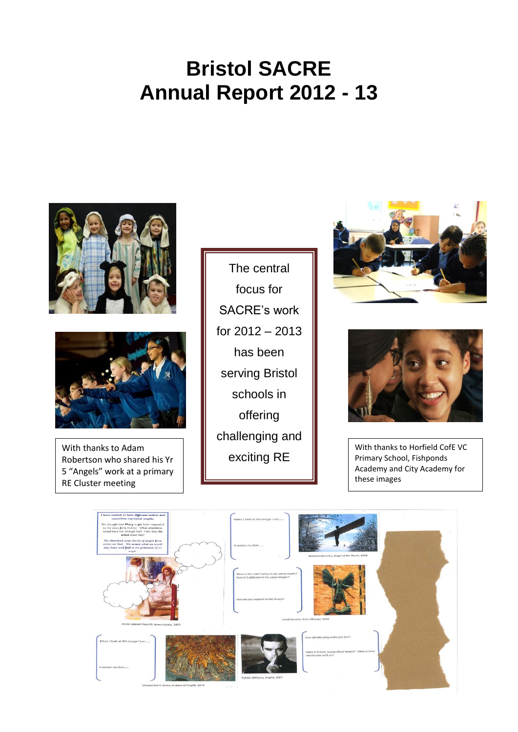# **Bristol SACRE Annual Report 2012 - 13**





With thanks to Adam Robertson who shared his Yr 5 "Angels" work at a primary RE Cluster meeting

The central focus for SACRE's work for 2012 – 2013 has been serving Bristol schools in offering challenging and exciting RE





With thanks to Horfield CofE VC Primary School, Fishponds Academy and City Academy for these images

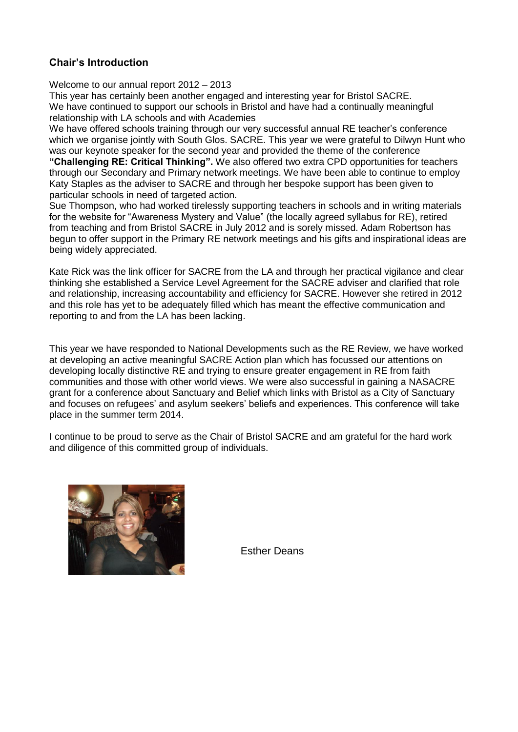# **Chair's Introduction**

Welcome to our annual report 2012 – 2013

This year has certainly been another engaged and interesting year for Bristol SACRE. We have continued to support our schools in Bristol and have had a continually meaningful relationship with LA schools and with Academies

We have offered schools training through our very successful annual RE teacher's conference which we organise jointly with South Glos. SACRE. This year we were grateful to Dilwyn Hunt who was our keynote speaker for the second year and provided the theme of the conference

**"Challenging RE: Critical Thinking".** We also offered two extra CPD opportunities for teachers through our Secondary and Primary network meetings. We have been able to continue to employ Katy Staples as the adviser to SACRE and through her bespoke support has been given to particular schools in need of targeted action.

Sue Thompson, who had worked tirelessly supporting teachers in schools and in writing materials for the website for "Awareness Mystery and Value" (the locally agreed syllabus for RE), retired from teaching and from Bristol SACRE in July 2012 and is sorely missed. Adam Robertson has begun to offer support in the Primary RE network meetings and his gifts and inspirational ideas are being widely appreciated.

Kate Rick was the link officer for SACRE from the LA and through her practical vigilance and clear thinking she established a Service Level Agreement for the SACRE adviser and clarified that role and relationship, increasing accountability and efficiency for SACRE. However she retired in 2012 and this role has yet to be adequately filled which has meant the effective communication and reporting to and from the LA has been lacking.

This year we have responded to National Developments such as the RE Review, we have worked at developing an active meaningful SACRE Action plan which has focussed our attentions on developing locally distinctive RE and trying to ensure greater engagement in RE from faith communities and those with other world views. We were also successful in gaining a NASACRE grant for a conference about Sanctuary and Belief which links with Bristol as a City of Sanctuary and focuses on refugees' and asylum seekers' beliefs and experiences. This conference will take place in the summer term 2014.

I continue to be proud to serve as the Chair of Bristol SACRE and am grateful for the hard work and diligence of this committed group of individuals.



Esther Deans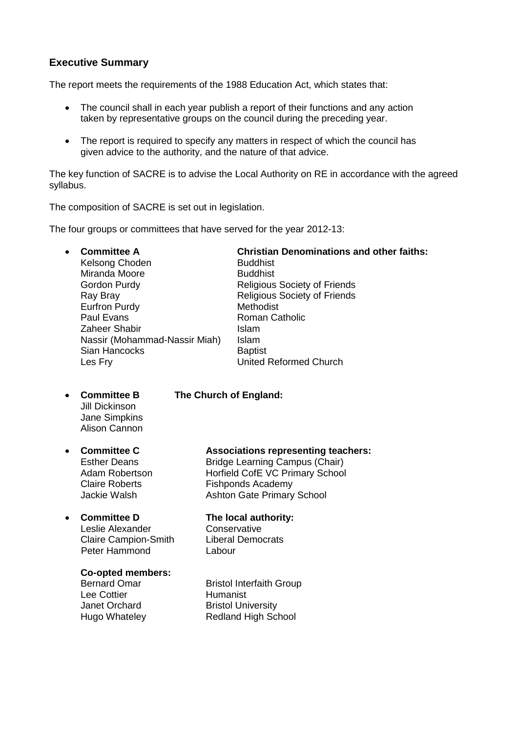# **Executive Summary**

The report meets the requirements of the 1988 Education Act, which states that:

- The council shall in each year publish a report of their functions and any action taken by representative groups on the council during the preceding year.
- The report is required to specify any matters in respect of which the council has given advice to the authority, and the nature of that advice.

The key function of SACRE is to advise the Local Authority on RE in accordance with the agreed syllabus.

The composition of SACRE is set out in legislation.

The four groups or committees that have served for the year 2012-13:

Kelsong Choden Buddhist Miranda Moore Buddhist Gordon Purdy **Religious Society of Friends** Ray Bray **Religious** Society of Friends Eurfron Purdy **Methodist** Paul Evans **Roman Catholic** Roman Catholic Zaheer Shabir **Islam** Nassir (Mohammad-Nassir Miah) Islam Sian Hancocks Baptist Les Fry **United Reformed Church** 

**Committee A Christian Denominations and other faiths:**

Jill Dickinson Jane Simpkins Alison Cannon

# **Committee B The Church of England:**

# **Committee C Associations representing teachers:**

Esther Deans Bridge Learning Campus (Chair) Adam Robertson **Horfield CofE VC Primary School** Claire Roberts **Fishponds Academy** Jackie Walsh Ashton Gate Primary School

#### **Committee D The local authority:**

Leslie Alexander Conservative Claire Campion-Smith Liberal Democrats Peter Hammond Labour

#### **Co-opted members:**

Lee Cottier

Bernard Omar Bristol Interfaith Group<br>
Lee Cottier **Britannist**<br>
Humanist Janet Orchard Bristol University Hugo Whateley Redland High School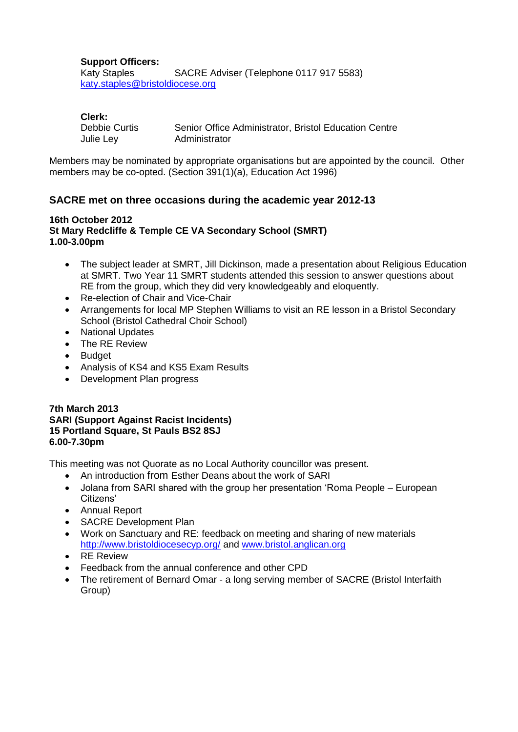#### **Support Officers:**

Katy Staples SACRE Adviser (Telephone 0117 917 5583) [katy.staples@bristoldiocese.org](mailto:katy.staples@bristoldiocese.org)

#### **Clerk:**

| Debbie Curtis | Senior Office Administrator, Bristol Education Centre |  |
|---------------|-------------------------------------------------------|--|
| Julie Ley     | Administrator                                         |  |

Members may be nominated by appropriate organisations but are appointed by the council. Other members may be co-opted. (Section 391(1)(a), Education Act 1996)

# **SACRE met on three occasions during the academic year 2012-13**

#### **16th October 2012 St Mary Redcliffe & Temple CE VA Secondary School (SMRT) 1.00-3.00pm**

- The subject leader at SMRT, Jill Dickinson, made a presentation about Religious Education at SMRT. Two Year 11 SMRT students attended this session to answer questions about RE from the group, which they did very knowledgeably and eloquently.
- Re-election of Chair and Vice-Chair
- Arrangements for local MP Stephen Williams to visit an RE lesson in a Bristol Secondary School (Bristol Cathedral Choir School)
- National Updates
- The RE Review
- Budget
- Analysis of KS4 and KS5 Exam Results
- Development Plan progress

#### **7th March 2013 SARI (Support Against Racist Incidents) 15 Portland Square, St Pauls BS2 8SJ 6.00-7.30pm**

This meeting was not Quorate as no Local Authority councillor was present.

- An introduction from Esther Deans about the work of SARI
- Jolana from SARI shared with the group her presentation 'Roma People European Citizens'
- Annual Report
- SACRE Development Plan
- Work on Sanctuary and RE: feedback on meeting and sharing of new materials <http://www.bristoldiocesecyp.org/> and [www.bristol.anglican.org](http://www.bristol.anglican.org/)
- RE Review
- Feedback from the annual conference and other CPD
- The retirement of Bernard Omar a long serving member of SACRE (Bristol Interfaith Group)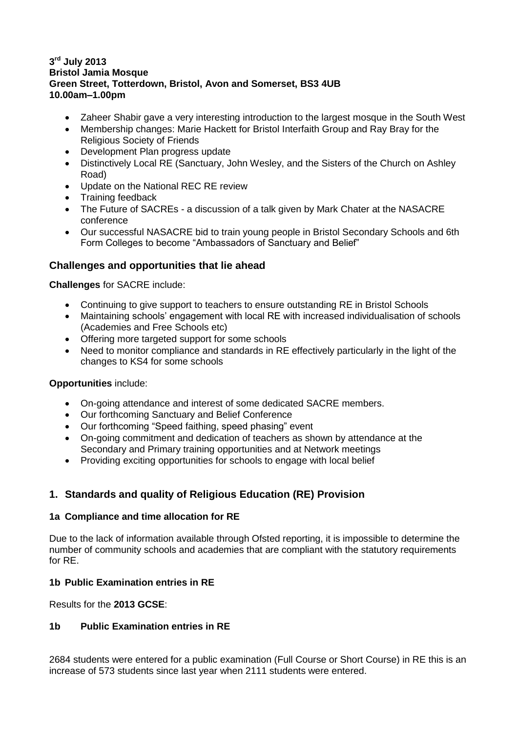#### **3 rd July 2013 Bristol Jamia Mosque Green Street, Totterdown, Bristol, Avon and Somerset, BS3 4UB 10.00am–1.00pm**

- Zaheer Shabir gave a very interesting introduction to the largest mosque in the South West
- Membership changes: Marie Hackett for Bristol Interfaith Group and Ray Bray for the Religious Society of Friends
- Development Plan progress update
- Distinctively Local RE (Sanctuary, John Wesley, and the Sisters of the Church on Ashley Road)
- Update on the National REC RE review
- Training feedback
- The Future of SACREs a discussion of a talk given by Mark Chater at the NASACRE conference
- Our successful NASACRE bid to train young people in Bristol Secondary Schools and 6th Form Colleges to become "Ambassadors of Sanctuary and Belief"

# **Challenges and opportunities that lie ahead**

**Challenges** for SACRE include:

- Continuing to give support to teachers to ensure outstanding RE in Bristol Schools
- Maintaining schools' engagement with local RE with increased individualisation of schools (Academies and Free Schools etc)
- Offering more targeted support for some schools
- Need to monitor compliance and standards in RE effectively particularly in the light of the changes to KS4 for some schools

#### **Opportunities** include:

- On-going attendance and interest of some dedicated SACRE members.
- Our forthcoming Sanctuary and Belief Conference
- Our forthcoming "Speed faithing, speed phasing" event
- On-going commitment and dedication of teachers as shown by attendance at the Secondary and Primary training opportunities and at Network meetings
- Providing exciting opportunities for schools to engage with local belief

# **1. Standards and quality of Religious Education (RE) Provision**

#### **1a Compliance and time allocation for RE**

Due to the lack of information available through Ofsted reporting, it is impossible to determine the number of community schools and academies that are compliant with the statutory requirements for RE.

#### **1b Public Examination entries in RE**

Results for the **2013 GCSE**:

#### **1b Public Examination entries in RE**

2684 students were entered for a public examination (Full Course or Short Course) in RE this is an increase of 573 students since last year when 2111 students were entered.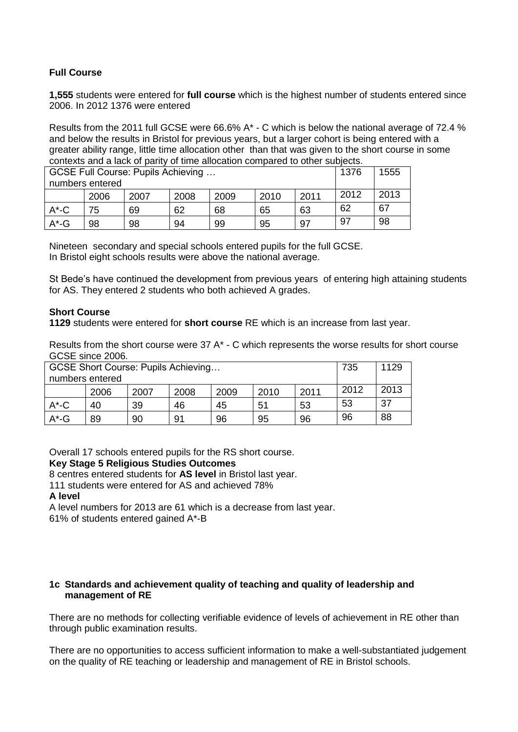#### **Full Course**

**1,555** students were entered for **full course** which is the highest number of students entered since 2006. In 2012 1376 were entered

Results from the 2011 full GCSE were 66.6% A\* - C which is below the national average of 72.4 % and below the results in Bristol for previous years, but a larger cohort is being entered with a greater ability range, little time allocation other than that was given to the short course in some contexts and a lack of parity of time allocation compared to other subjects.

| GCSE Full Course: Pupils Achieving<br>numbers entered |      |      |      |      | 1376 | 1555 |      |      |
|-------------------------------------------------------|------|------|------|------|------|------|------|------|
|                                                       | 2006 | 2007 | 2008 | 2009 | 2010 | 2011 | 2012 | 2013 |
| $A^{\star}$ -C                                        | 75   | 69   | 62   | 68   | 65   | 63   | 62   | 67   |
| $A^*$ -G                                              | 98   | 98   | 94   | 99   | 95   | 97   | 97   | 98   |

Nineteen secondary and special schools entered pupils for the full GCSE. In Bristol eight schools results were above the national average.

St Bede's have continued the development from previous years of entering high attaining students for AS. They entered 2 students who both achieved A grades.

#### **Short Course**

**1129** students were entered for **short course** RE which is an increase from last year.

Results from the short course were 37 A\* - C which represents the worse results for short course GCSE since 2006.

| GCSE Short Course: Pupils Achieving |      |      |      |      |      | 735  | 1129 |      |
|-------------------------------------|------|------|------|------|------|------|------|------|
| numbers entered                     |      |      |      |      |      |      |      |      |
|                                     | 2006 | 2007 | 2008 | 2009 | 2010 | 2011 | 2012 | 2013 |
| $A^*$ -C                            | 40   | 39   | 46   | 45   | 51   | 53   | 53   | 37   |
| $A^*$ -G                            | 89   | 90   | 91   | 96   | 95   | 96   | 96   | 88   |

Overall 17 schools entered pupils for the RS short course.

#### **Key Stage 5 Religious Studies Outcomes**

8 centres entered students for **AS level** in Bristol last year.

111 students were entered for AS and achieved 78%

#### **A level**

A level numbers for 2013 are 61 which is a decrease from last year.

61% of students entered gained A\*-B

#### **1c Standards and achievement quality of teaching and quality of leadership and management of RE**

There are no methods for collecting verifiable evidence of levels of achievement in RE other than through public examination results.

There are no opportunities to access sufficient information to make a well-substantiated judgement on the quality of RE teaching or leadership and management of RE in Bristol schools.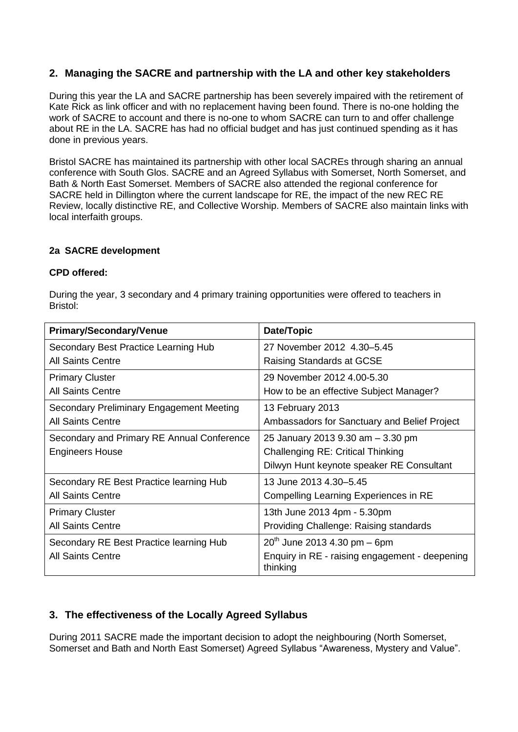# **2. Managing the SACRE and partnership with the LA and other key stakeholders**

During this year the LA and SACRE partnership has been severely impaired with the retirement of Kate Rick as link officer and with no replacement having been found. There is no-one holding the work of SACRE to account and there is no-one to whom SACRE can turn to and offer challenge about RE in the LA. SACRE has had no official budget and has just continued spending as it has done in previous years.

Bristol SACRE has maintained its partnership with other local SACREs through sharing an annual conference with South Glos. SACRE and an Agreed Syllabus with Somerset, North Somerset, and Bath & North East Somerset. Members of SACRE also attended the regional conference for SACRE held in Dillington where the current landscape for RE, the impact of the new REC RE Review, locally distinctive RE, and Collective Worship. Members of SACRE also maintain links with local interfaith groups.

#### **2a SACRE development**

#### **CPD offered:**

During the year, 3 secondary and 4 primary training opportunities were offered to teachers in Bristol:

| <b>Primary/Secondary/Venue</b>             | Date/Topic                                                 |
|--------------------------------------------|------------------------------------------------------------|
| Secondary Best Practice Learning Hub       | 27 November 2012 4.30-5.45                                 |
| <b>All Saints Centre</b>                   | Raising Standards at GCSE                                  |
| <b>Primary Cluster</b>                     | 29 November 2012 4.00-5.30                                 |
| <b>All Saints Centre</b>                   | How to be an effective Subject Manager?                    |
| Secondary Preliminary Engagement Meeting   | 13 February 2013                                           |
| <b>All Saints Centre</b>                   | Ambassadors for Sanctuary and Belief Project               |
| Secondary and Primary RE Annual Conference | 25 January 2013 9.30 am - 3.30 pm                          |
| <b>Engineers House</b>                     | <b>Challenging RE: Critical Thinking</b>                   |
|                                            | Dilwyn Hunt keynote speaker RE Consultant                  |
| Secondary RE Best Practice learning Hub    | 13 June 2013 4.30–5.45                                     |
| <b>All Saints Centre</b>                   | Compelling Learning Experiences in RE                      |
| <b>Primary Cluster</b>                     | 13th June 2013 4pm - 5.30pm                                |
| <b>All Saints Centre</b>                   | Providing Challenge: Raising standards                     |
| Secondary RE Best Practice learning Hub    | $20^{th}$ June 2013 4.30 pm – 6pm                          |
| <b>All Saints Centre</b>                   | Enquiry in RE - raising engagement - deepening<br>thinking |

# **3. The effectiveness of the Locally Agreed Syllabus**

During 2011 SACRE made the important decision to adopt the neighbouring (North Somerset, Somerset and Bath and North East Somerset) Agreed Syllabus "Awareness, Mystery and Value".